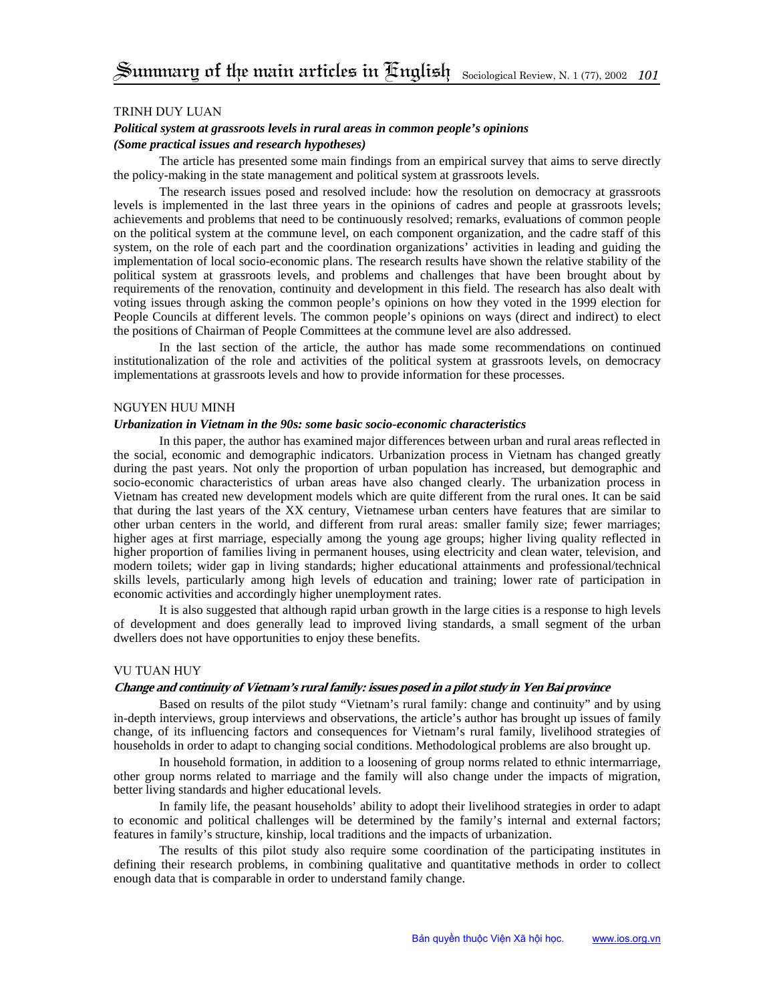# Trinh Duy Luan

# *Political system at grassroots levels in rural areas in common people's opinions (Some practical issues and research hypotheses)*

The article has presented some main findings from an empirical survey that aims to serve directly the policy-making in the state management and political system at grassroots levels.

The research issues posed and resolved include: how the resolution on democracy at grassroots levels is implemented in the last three years in the opinions of cadres and people at grassroots levels; achievements and problems that need to be continuously resolved; remarks, evaluations of common people on the political system at the commune level, on each component organization, and the cadre staff of this system, on the role of each part and the coordination organizations' activities in leading and guiding the implementation of local socio-economic plans. The research results have shown the relative stability of the political system at grassroots levels, and problems and challenges that have been brought about by requirements of the renovation, continuity and development in this field. The research has also dealt with voting issues through asking the common people's opinions on how they voted in the 1999 election for People Councils at different levels. The common people's opinions on ways (direct and indirect) to elect the positions of Chairman of People Committees at the commune level are also addressed.

In the last section of the article, the author has made some recommendations on continued institutionalization of the role and activities of the political system at grassroots levels, on democracy implementations at grassroots levels and how to provide information for these processes.

### Nguyen Huu Minh

### *Urbanization in Vietnam in the 90s: some basic socio-economic characteristics*

In this paper, the author has examined major differences between urban and rural areas reflected in the social, economic and demographic indicators. Urbanization process in Vietnam has changed greatly during the past years. Not only the proportion of urban population has increased, but demographic and socio-economic characteristics of urban areas have also changed clearly. The urbanization process in Vietnam has created new development models which are quite different from the rural ones. It can be said that during the last years of the XX century, Vietnamese urban centers have features that are similar to other urban centers in the world, and different from rural areas: smaller family size; fewer marriages; higher ages at first marriage, especially among the young age groups; higher living quality reflected in higher proportion of families living in permanent houses, using electricity and clean water, television, and modern toilets; wider gap in living standards; higher educational attainments and professional/technical skills levels, particularly among high levels of education and training; lower rate of participation in economic activities and accordingly higher unemployment rates.

It is also suggested that although rapid urban growth in the large cities is a response to high levels of development and does generally lead to improved living standards, a small segment of the urban dwellers does not have opportunities to enjoy these benefits.

#### Vu Tuan Huy

# **Change and continuity of Vietnam's rural family: issues posed in a pilot study in Yen Bai province**

Based on results of the pilot study "Vietnam's rural family: change and continuity" and by using in-depth interviews, group interviews and observations, the article's author has brought up issues of family change, of its influencing factors and consequences for Vietnam's rural family, livelihood strategies of households in order to adapt to changing social conditions. Methodological problems are also brought up.

In household formation, in addition to a loosening of group norms related to ethnic intermarriage, other group norms related to marriage and the family will also change under the impacts of migration, better living standards and higher educational levels.

In family life, the peasant households' ability to adopt their livelihood strategies in order to adapt to economic and political challenges will be determined by the family's internal and external factors; features in family's structure, kinship, local traditions and the impacts of urbanization.

The results of this pilot study also require some coordination of the participating institutes in defining their research problems, in combining qualitative and quantitative methods in order to collect enough data that is comparable in order to understand family change.